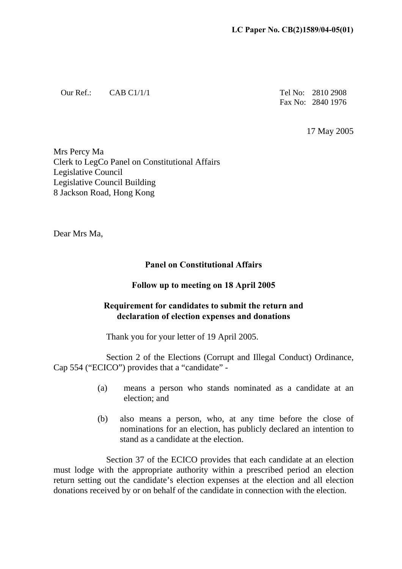Our Ref.: CAB C1/1/1 Tel No: 2810 2908

Fax No: 2840 1976

17 May 2005

Mrs Percy Ma Clerk to LegCo Panel on Constitutional Affairs Legislative Council Legislative Council Building 8 Jackson Road, Hong Kong

Dear Mrs Ma,

## **Panel on Constitutional Affairs**

## **Follow up to meeting on 18 April 2005**

## **Requirement for candidates to submit the return and declaration of election expenses and donations**

Thank you for your letter of 19 April 2005.

Section 2 of the Elections (Corrupt and Illegal Conduct) Ordinance, Cap 554 ("ECICO") provides that a "candidate" -

- (a) means a person who stands nominated as a candidate at an election; and
- (b) also means a person, who, at any time before the close of nominations for an election, has publicly declared an intention to stand as a candidate at the election.

Section 37 of the ECICO provides that each candidate at an election must lodge with the appropriate authority within a prescribed period an election return setting out the candidate's election expenses at the election and all election donations received by or on behalf of the candidate in connection with the election.